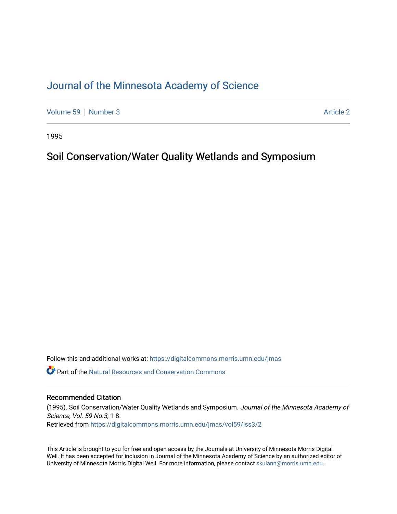# [Journal of the Minnesota Academy of Science](https://digitalcommons.morris.umn.edu/jmas)

[Volume 59](https://digitalcommons.morris.umn.edu/jmas/vol59) [Number 3](https://digitalcommons.morris.umn.edu/jmas/vol59/iss3) Article 2

1995

# Soil Conservation/Water Quality Wetlands and Symposium

Follow this and additional works at: [https://digitalcommons.morris.umn.edu/jmas](https://digitalcommons.morris.umn.edu/jmas?utm_source=digitalcommons.morris.umn.edu%2Fjmas%2Fvol59%2Fiss3%2F2&utm_medium=PDF&utm_campaign=PDFCoverPages) 

 $\bullet$  Part of the Natural Resources and Conservation Commons

# Recommended Citation

(1995). Soil Conservation/Water Quality Wetlands and Symposium. Journal of the Minnesota Academy of Science, Vol. 59 No.3, 1-8. Retrieved from [https://digitalcommons.morris.umn.edu/jmas/vol59/iss3/2](https://digitalcommons.morris.umn.edu/jmas/vol59/iss3/2?utm_source=digitalcommons.morris.umn.edu%2Fjmas%2Fvol59%2Fiss3%2F2&utm_medium=PDF&utm_campaign=PDFCoverPages)

This Article is brought to you for free and open access by the Journals at University of Minnesota Morris Digital Well. It has been accepted for inclusion in Journal of the Minnesota Academy of Science by an authorized editor of University of Minnesota Morris Digital Well. For more information, please contact [skulann@morris.umn.edu](mailto:skulann@morris.umn.edu).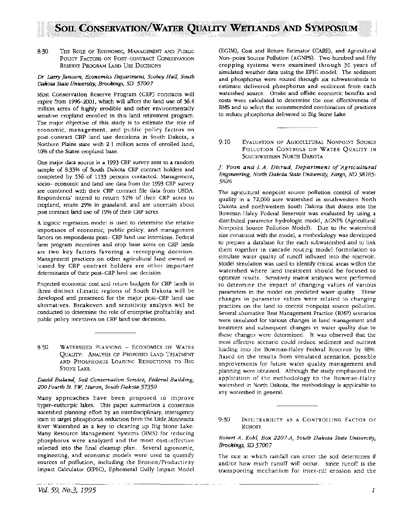8:30 THE ROLE OF ECONOMIC, MANAGEMENT AND PUBLIC POLICY FACTORS ON POST-CONTRACT CONSERVAYION RESERVE PROGRAM LAND USE DECISIONS

#### *Dr.* Larry *Janssen, Economics* Departmen~ *Scobey Hall, South Dakota State University, Brookings, SD 57007*

Most Conservation Reserve Program (CRP) contracts will expire from 1996-2001, which will affect the land use of 36.4 million acres of highly erodible and other environmentally sensitive cropland enrolled in this land retirement program. The major objective of this study is to estimate the role of economic, management, and public policy factors on post-contract CRP land use decisions in South Dakota, a Northern Plains state with 2.1 million acres of enrolled land, 10% of the States cropland base.

One major data source is a 1993 CRP survey sent to a random sample of 8.33% of South Dakota CRP contract holders and completed by 556 of 1133 persons contacted. Management, socio- economic and land use data from the 1993 CRP survey are combined with their CRP contract file data from USDA. Respondents' intend to return 52% of their CRP acres to cropland, retain 29% in grassland, and are uncertain about post contract land use of 19% of their CRP acres.

A logistic regression model is used to determine the relative importance of economic, public policy, and management factors on respondents post- CRP land use intentions. Federal farm program incentives and crop base acres on CRP lands are two key factors favoring a recropping decision. Management practices on other agricultural land owned or leased by CRP contract holders are other important determinants of their post-CRP land use decision.

Projected economic cost and return budgets for CRP lands in three distinct climatic regions of South Dakota will be developed and presented for the major post-CRP land use alternatives. Breakeven and sensitivity analysis will be conducted to determine the role of enterprise profitability and public policy incentives on CRP land use decisions.

8:50 WATERSHED PLANNING - ECONOMICS OF WATER QUAUTY: ANALYSIS OF PROPOSED LAND TREATMENT AND PHOSPHORUS LOADING REDUCTIONS TO BIG STONE LAKE.

#### *David Buland, Soil Conservation Service, Federal Building, 200 Fourth St. SW, Huron, South Dakota 57350*

Many approaches have been proposed to improve hyper-euthorpic lakes. This paper summarizes a consensus watershed planning effort by an interdisciplinary, interagency team to target phosphorus reduction from the Little Minnesota River Watershed as a key to cleaning up Big Stone Lake. Many Resource Management Systems (RMS) for reducing phosphorus were analyzed and the most cost-effective selected into the final cleanup plan. Several agronomic, engineering, and economic models were used to quantify sources of pollution, including the Erosion/Productivity Impact Calculator (EPIC), Ephemeral Gully Impact Model

(EGIM), Cost and Return Estimator (CARE), and Agricultural Non-point Source Pollution (AGNPS). Two hundred and fifty cropping systems were examined through 30 years of simulated weather data using the EPIC model. The sediment and phosphorus were routed through six subwatersheds to estimate delivered phosphorus and sediment from each watershed source. Onsite and offsite economic benefits and costs were calculated to determine the cost effectiveness of RMS and to select the recommended combination of practices to reduce phosphorus delivered to Big Stone Lake.

9:10 EVALUATION OF AGRICULTURAL NONPOINT SOURCE POLLUTION CONTROLS ON WATER QUALITY IN SoUTHWESTERN NoRTH DAKOTA

### *J. Yoon and L.A. Disrud, Department of Agricultural Engineering, North Dakota State University, Fargo, ND 58105- 5626*

The agricultural nonpoint source pollution control of water quality in a 72,000 acre watershed in southwestern North Dakota and northwestern South Dakota that drains into the Bowman-Haley Federal Reservoir was evaluated by using a distributed parameter hydrologic model, AGNPS (Agricultural Nonpoint Source Pollution Model). Due to the watershed size constraint with the model, a methodology was developed to prepare a database for the each subwatershed and to link them together in cascade routing model formulation to simulate water quality of runoff influxed into the reservoir. Model simulation was used to identify critical areas within the watershed where land treatment should be focused to optimize results. Sensitivity matrix analyses were performed to determine the impact of changing values of various parameters in the model on predicted water quality. These changes in parameter values were related to changing practices on the land to control nonpoint source pollution. Several alternative Best Management Practice (BMP) scenarios were simulated for various changes in land management and treatment and subsequent changes in water quality due to these changes were determined. It was observed that the most effective scenario could reduce sediment and nutrient loading into the Bowman-Haley Federal Reservoir by 48%. Based on the results from simulated scenarios, possible improvements for future water quality management and planning were obtained. Although the study emphasized the application of the methodology to the Bowman-Haley watershed in North Dakota, the methodology is applicable to any watershed in general.

9:30 INFILTRABILITY AS A CONTROLLING FACTOR OF RUNOFF

#### *Robert A. Kohl, Box 2207-A, South Dakota State University,*  Brookings, SD *57007*

The rate at which rainfall can enter the soil determines if and/or how much runoff will occur. Since runoff is the transporting mechanism for inter-rill erosion and the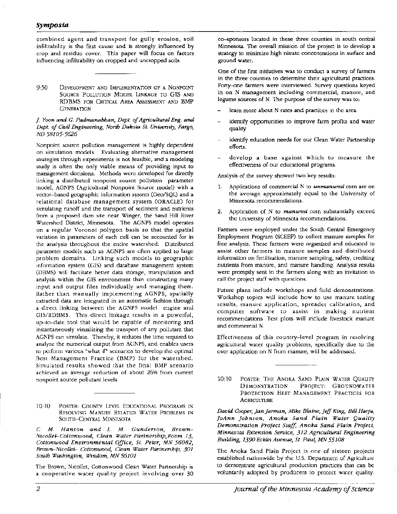## *Symposia*

combined agent and transport for gully erosion, soil infiltrability is the first cause and is strongly influenced by crop and residue cover. This paper will focus on factors influencing infiltrability on cropped and uncropped soils.

9:50 DEVELOPMENT AND IMPLEMENTATION OF A NONPOINT SOURCE POLLUTION MODEL LINKAGE TO GIS AND RDBMS FOR CRITICAL AREA ASSESSMENT AND BMP **GENERATION** 

#### *]. Yoon and G. Padmanabhan, Dept. of Agricultural Eng. and Dept. of Civil Engineering, North Dakota St. University, Fargo, ND 58105-5626*

Nonpoint source pollution management is highly dependent on simulation models. Evaluating alternative management strategies through experiments is not feasible, and a modeling study is often the only viable means of providing input to management decisions. Methods were developed for directly linking a distributed nonpoint source pollution parameter model, AGNPS (Agricultural Nonpoint Source model) with a vector-based geographic information system (Geo/SQL) and a relational database management system (ORACLE) for simulating runoff and the transport of sediment and nutrients from a proposed dam site near Winger, the Sand Hill River Watershed District, Minnesota. The AGNPS model operates on a regular Voronoi polygon basis so that the spatial variation in parameters of each cell can be accounted for in the analysis throughout the entire watershed. Distributed parameter models such as AGNPS are often applied to large problem domains. Linking such models to geographic information system (GIS) and database management system (DBMS) will facilitate better data storage, manipulation and analysis within the GIS environment than constructing many input and output files individually and managing them. Rather than manually implementing AGNPS, spatially extracted data are integrated in an automatic fashion through a direct linking between the AGNPS model engine and GIS/RDBMS. This direct linkage results in a powerful, up-to-date tool that would be capable of monitoring and instantaneously visualizing the transport of any pollutant that AGNPS can simulate. Thereby, it reduces the time required to analyze the numerical output from AGNPS, and enables users to perform various "what if' scenarios to develop the optimal Best Management Practice (BMP) for the watershed. Simulated results showed that the final BMP scenario achieved an average reduction of about 26% from current nonpoint source pollutant levels.

10:10 POSTER: COUNTY LEVEL EDUCATIONAL PROGRAMS IN RESOLVING MANURE RELATED WATER PROBLEMS IN SOUTH-CENTRAL MINNESOTA

*C. M. Hanson and L. M. Gunderson, Brown-Nicollei-Cottonwood, Clean Water Partnership,Room 13, Cottonwood Environmental Office, St. Peter, MN 56082, Brown-Nicollel- Cottonwood, Clean Water Partnership, 301 South Washington, Windom, MN 56101* 

The Brown, Nicollet, Cottonwood Clean Water Partnership is a cooperative water quality project involving over 30

co-sponsors located in these three counties in south central Minnesota. The overall mission of the project is to develop a strategy to minimize high nitrate concentrations in surface and ground water.

One of the first initiatives was to conduct a survey of farmers in the three counties to determine their agricultural practices. Forty-one farmers were interviewed. Survey questions keyed in on N management including commercial, manure, and legume sources of N. The purpose of the survey was to:

- learn more about N rates and practices in the area.
- identify opportunities to improve farm profits and water quality
- identify education needs for our Clean Water Partnership efforts.
- develop a base against which to measure the effectiveness of our educational programs.

Analysis of the survey showed two key results:

- 1. Applications of commercial N to *unmanured* corn are on the average approximately equal to the University of Minnesota recommendations.
- 2. Application of N to *manured* corn substantially exceed the University of Minnesota recommendations.

Farmers were employed under the South Central Emergency Employment Program (SCEEP) to collect manure samples for free analysis. These farmers were organized and educated to assist other farmers in manure samples and distributed information on fertilization, manure sampling, safety, crediting nutrients from manure, and manure handling. Analysis results were promptly sent to the farmers along with an invitation to call the project staff with questions.

Future plans include workshops and field demonstrations. Workshop topics will include how to use manure testing results, manure application, spreader calibration, and computer software to assist in making nutrient recommendations. Test plots will include livestock manure and commercial N.

Effectiveness of this country-level program in resolving agricultural water quality problems, specifically due to the over application on N from manure, will be addressed.

10:10 POSTER: THE ANOKA SAND PLAIN WATER OUALITY DEMONSTRATION PROJECT: GROUNDWATER PROTECTION BEST MANAGEMENT PRACTICES FOR **AGRICULTURE** 

*David Cooper, jan Jarman, Mike Blaine, jeff King, Bill Harju, joAnn johnson, Anoka Sand ·Plain Water Quality Demonstration Project Staff, Anoka Sand Plain Project, Minnesota Extension Service, 312 Agricultural Engineering Building, 1390 Eckles Avenue, St. Paul, MN 55108* 

The Anoka Sand Plain Project is one of sixteen projects established nationwide by the U.S. Department of Agriculture to demonstrate agricultural production practices that can be voluntarily adopted by producers to protect water quality.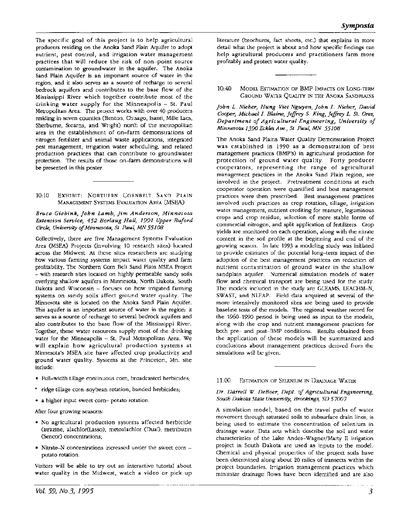The specific goal of this project is to help agricultural producers residing on the Anoka Sand Plain Aquifer to adopt nutrient, pest control, and irrigation water management practices that will reduce the risk of non-point source contamination to groundwater in the aquifer. The Anoka Sand Plain Aquifer is an important source of water in the region, and it also serves as a source of recharge to several bedrock aquifers and contributes to the base flow of the Mississippi River which together contribute most of the drinking water supply for the Minneapolis  $-$  St. Paul Metropolitan Area. The project works with over 40 producers residing in seven counties (Benton, Chisago, Isanti, Mille Lacs, Sherburne, Stearns, and Wright) north of the metropolitan area in the establishment of on-farm demonstrations of nitrogen fertilizer and animal waste applications, integrated pest management, irrigation water scheduling, and related production practices that can contribute to groundwater protection. The results of those on-farm demonstrations will be presented in this poster.

#### 10:10 EXHIBIT: NORTHERN CORNBELT SAND PLAIN MANAGEMENT SYSTEMS EVALUATION AREA (MSEA)

*Bruce Giebink, john Lamb, jim Anderson, Minnesota Extension Service, 452 Borlaug Hall, 1991 Upper Buford Circle, University of Minnesota, St. Paul, MN 55108* 

Collectively, there are five Management Systems Evaluation Area (MSEA) Projects (involving 10 research sites) located across the Midwest. At these sites researchers are studying how various farming systems impact water quality and farm profitability. The Northern Corn Belt Sand Plain MSEA Project - with research sites located on highly permeable sandy soils overlying shallow aquifers in Minnesota, North Dakota, South Dakota and Wisconsin - focuses on how irrigated farming systems on sandy soils affect ground water quality. The Minnesota site is located on the Anoka Sand Plain Aquifer. This aquifer is an important source of water in the region: it serves as a source of recharge to several bedrock aquifers and also contributes to the base flow of the Mississippi River. Together, these water resources supply most of the drinking water for the Minneapolis - St. Paul Metropolitan Area. We will explain how agricultural production systems at Minnesota's MSEA site have affected crop productivity and ground water quality. Systems at the Princeton, Mn. site include:

- Full-width tillage continuous corn, broadcasted herbicides;
- ridge tillage corn-soybean rotation, banded herbicides;
- a higher input sweet corn- potato rotation.

After four growing seasons:

- No agricultural production systems affected herbicide (atrazine, alachlor(Lasso), metoalachlor (Dual), metribuzin (Sencor) concentrations;
- Nitrate-N concentrations increased under the sweet corn potato rotation.

Visitors will be able to try out an interactive tutorial about water quality in the Midwest, watch a video or pick up

literature (brochures, fact sheets, etc.) that explains in more detail what the project is about and how specific findings can help agricultural producers and practitioners farm more profitably and protect water quality.

## 10:40 MODEL ESTIMATION OF BMP lMPACfS ON LoNG-TERM GROUND WATER QUAUTY IN THE ANOKA SANDPLAINS

*john L. Nieber, Hung Viet Nguyen, john L. Nieber, David Cooper, Michael* /. *Blaine, jeffrey* S. *King, jeffrey L. St. Ores, Department of Agricultural Engineering, University of Minnesota 1390 Eckles Ave., St. Paul, MN 55108* 

The Anoka Sand Plains Water Quality Demonstration Project was established in 1990 as a demonstration of best management practices (BMP's) in agricultural production for protection of ground water quality. Forty producer cooperators, representing the range of agricultural management practices in the Anoka Sand Plain region, are involved in the project. Pretreatment conditions at each cooperator operation were quantified and best management practices were then prescribed. Best management practices involved such practices as crop rotation, tillage, irrigation water management, nutrient crediting for manure, leguminous crops and crop residue, selection of more stable forms of commercial nitrogen, and split application of fertilizers. Crop yields are monitored on each operation, along with the nitrate content in the soil profile at the beginning and end of the growing season. In late 1993 a modeling study was initiated to provide estimates of the potential long-term impact of the adoption of the best management practices on reduction of nutrient contamination of ground water in the shallow sandplain aquifer. Numerical simulation models of water flow and chemical transport are being used for the study. The models included in the study are GLEAMS, LEACHM-N, SWAST, and NLEAP. Field data acquired at several of the more intensively monitored sites are being used to provide baseline tests of the models. The regional weather record for the 1960-1990 period is being used as input to the models, along with the crop and nutrient management practices for both pre- and post-BMP conditions. Results obtained from the application of these models will be summarized and conclusions about management practices derived from the simulations will be given.

#### 11:00 EsTIMATION OF SELENIUM IN DRAINAGE WATER

#### *Dr. Darrell W. DeBoer, Dept. of Agricultural Engineering, South Dakota State University, Brookings, SD 57007*

A simulation model, based on the travel paths of water movement through saturated soils to subsurface drain lines, is being used to estimate the concentration of selenium in drainage water. Data sets which describe the soil and water characteristics of the Lake Andes-Wagner/Marty II irrigation project in South Dakota are used as inputs to the model. Chemical and physical properties of the project soils have been determined along about 20 miles of transects within the project boundaries. Irrigation management practices which minimize drainage flows have been identified and are also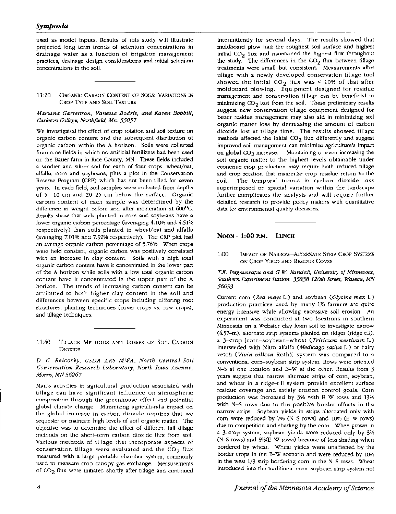# *Symposia*

used as model inputs. Results of this study will illustrate projected long term trends of selenium concentrations in drainage water as a function of irrigation management practices, drainage design considerations and initial selenium concentrations in the soil.

#### 11:20 ORGANIC CARBON CONrENr OF SOilS: VARIATIONS IN CROP TYPE AND SOIL TEXTURE

#### *Mariana Garrettson, Vanessa Bodrie, and Karen Bobbitt, Carleton College, Northfield, Mn. 55057*

We investigated the effect of crop rotation and soil texture on organic carbon content and the subsequent distribution of organic carbon within the A horizon. Soils were collected from nine fields in which no artificial fertilizers had been used on the Bauer farm in Rice County, MN. These fields included a sandier and siltier soil for each of four crops: wheat/oat, alfalfa, corn and soybeans, plus a plot in the Conservation Reserve Program (CRP) which has not been tilled for seven years. In each field, soil samples were collected from depths of 5- 10 em and 20-25 em below the surface. Organic carbon content of each sample was determined by the difference in weight before and after incineration at 600°C. Results show that soils planted in corn and soybeans have a lower organic carbon percentage (averaging 4.10% and 4.51% respectively) than soils planted in wheat/oat and alfalfa (averaging 7.01% and 7.92% respectively). The CRP plot had an average organic carbon percentage of 5.76%. When crops were held constant, organic carbon was positively correlated with an increase in clay content. Soils with a high total organic carbon content have it concentrated in the lower part of the A horizon while soils with a low total organic carbon content have it concentrated in the upper part of the A horizon. The trends of increasing carbon content can be attributed to both higher clay content in the soil and differences between specific crops including differing root structures, planting techniques (cover crops vs. row crops), and tillage techniques.

#### *D. C. Reicosky, USDA-ARS-MWA, North Central Soil Conservation Research Laboratory, North Iowa Avenue, Morris, MN 56267*

Man's activities in agricultural production associated with tillage can have significant influence on atmospheric composition through the greenhouse effect and potential global climate change. Minimizing agricultural's impact on the global increase in carbon dioxide requires that we sequester or maintain high levels of soil organic matter. The objective was to determine the effect of different fall tillage methods on the short-term carbon dioxide flux from soil. Various methods of tillage that incorporate aspects of conservation tillage were evaluated and the  $CO_2$  flux measured with a large portable chamber system, commonly used to measure crop canopy gas exchange. Measurements of  $CO<sub>2</sub>$  flux were initiated shortly after tillage and continued

intermittently for several days. The results showed that moldboard plow had the roughest soil surface and highest initial C02 flux and maintained the highest flux throughout the study. The differences in the  $CO<sub>2</sub>$  flux between tillage treatments were small but consistent. Measurements after tillage with a newly developed conservation tillage tool showed the initial  $CO_2$  flux was < 10% of that after moldboard plowing. Equipment designed for residue management and conservation tillage can be beneficial in minimizing  $CO<sub>2</sub>$  lost from the soil. These preliminary results suggest new conservation tillage equipment designed for better residue management may also aid in minimizing soil organic matter loss by decreasing the amount of carbon dioxide lost at tillage time. The results showed tillage methods affected the initial  $CO<sub>2</sub>$  flux differently and suggest improved soil management can minimize agriculture's impact on global  $CO<sub>2</sub>$  increase. Maintaining or even increasing the soil organic matter to the highest levels obtainable under economic crop production may require both reduced tillage and crop rotation that maximize crop residue return to the soil. The temporal trends in carbon dioxide loss superimposed on spacial variation within the landscape further complicates the analysis and will require further detailed research to provide policy makers with quantitative data for environmental quality decisions.

## **NOON - 1:00 P.M. LUNCH**

1:00 IMPACT OF NARROW-ALTERNATE STRIP CROP SYSTEMS oN CROP YIELD AND RESIDUE CoVER

## *T.K. /ragavarapu and G. W. Randall, University of Minnesota, Southern Experiment Station, 35838 I 20th Street, Waseca, MN 56093*

Current corn *(Zea mays* L.) and soybean *(Glycine max* L.) production practices used by many US farmers are quite energy intensive while allowing excessive soil erosion. An experiment was conducted at two locations in southern Minnesota on a Webster clay loam soil to investigate narrow (4.57-m), alternate strip systems planted on ridges (ridge till). a 3-crop [corn-soybean-wheat *(Triticum aestivum* L.) interseeded with Nitro alfalfa *(Medicago sativa* L.) or hairy vetch *(Vivia villosa* Roth)] system was compared to a conventional corn-soybean strip system. Rows were oriented N-S at one location and E-W at the other. Results from 3 years suggest that narrow alternate strips of corn, soybean, and wheat in a ridge-till system provide excellent surface residue coverage and satisfy erosion control goals. Corn production was increased by 3% with E-W rows and 13% with N-S rows due to the positive border effects in the narrow strips. Soybean yields in strips alternated only with corn were reduced by 7% (N-S rows) and 10% (E-W rows) due to competition and shading by the corn. When grown in a 3-crop system, soybean yields were reduced only by 3% (N-S rows) and 5%(E-W rows) because of less shading when bordered by wheat. Wheat yields were unaffected by the border crops in the E-W scenario and were reduced by 10% in the west 1/3 strip bordering corn in the N-S rows. Wheat introduced into the traditional corn-soybean strip system not

<sup>11:40</sup> TILLAGE METHODS AND LOSSES OF SOIL CARBON DIOXIDE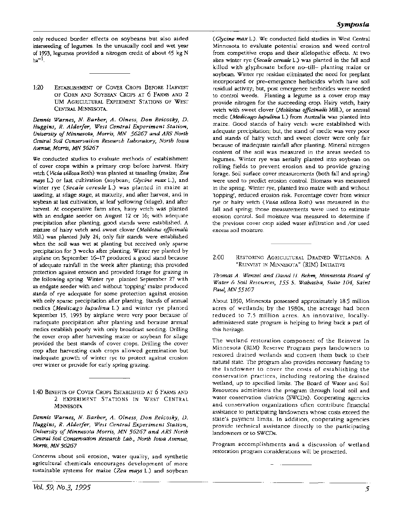only reduced border effects on soybeans but also aided interseeding of legumes. In the unusually cool and wet year of 1993, legumes provided a nitrogen credit of about 45 kg N  $ha^{-1}$ .

1:20 ESTABLISHMENT OF COVER CROPS BEFORE HARVEST oF CoRN AND SoYBEAN CRoPs AT 6 FARMS AND 2 UM AGRICULTURAL EXPERIMENT STATIONS OF WEST CENTRAL MINNESOTA.

*Dennis Warnes,* N. *Barber, A. Olness, Don Reicosky, D. Huggins, R. Alderfer, West Central Experiment Station, University of Minnesota, Morris, MN* 56267 *and ARS North Central Soil Conservation Research Laboratory, North Iowa Avenue, Morris,* MN 56267

We conducted studies to evaluate methods of establishment of cover crops within a primary crop before harvest. Hairy vetch *(Vicia villosa* Roth) was planted at tasseling (maize; *Zea mays* L.) or last cultivation (soybean; *Glycine max* L.), and winter rye *(Secale cereale* L.) was planted in maize at tasseling, at silage stage, at maturity, and after harvest, and in soybean at last cultivation, at leaf yellowing (silage), and after harvest. At cooperative farm sites, hairy vetch was planted with an endgate seeder on August 12 or 16; with adequate precipitation after planting, good stands were established. A mixture of hairy vetch and sweet clover *(Melilotus officina/is*  Mill.) was planted July 24; only fair stands were established when the soil was wet at planting but received only sparse precipitation for 3 weeks after planting. Winter rye planted by airplane on September 16-17 produced a good stand because of adequate rainfall in the week after planting; this provided protection against erosion and provided forage for grazing in the following spring. Winter rye planted September 27 with an endgate seeder with and without 'topping' maize produced stands of rye adequate for some protection against erosion with only sparse precipitation after planting. Stands of annual medics *(Medicago lupulina* L.) and winter rye planted September 15, 1993 by airplane were very poor because of inadequate precipitation after planting and because annual medics establish poorly with only broadcast seeding. Drilling the cover crop after harvesting maize or soybean for silage provided the best stands of cover crops. Drilling the cover crop after harvesting cash crops allowed germination but inadequate growth of winter rye to protect against erosion over winter or provide for early spring grazing.

1:40 BENEFITS OF COVER CROPS ESTABLISHED AT 6 FARMS AND 2 EXPERIMENT STATIONS IN WEST CENTRAL MINNESOTA

*Dennis Warnes, N. Barber, A. Olness, Don Reicosky, D. Huggins, R. Alderfer, West Central Experiment Station, University of Minnesota Morris, MN* 56267 *and ARS North Central Soil Conseroation Research Lab., North Iowa Avenue,*  Morris, *MN* 56267

Concerns about soil erosion, water quality, and synthetic agricultural chemicals encourages development of more sustainable systems for maize *(Zea mays* L.) and soybean

*(Glycine max* L.). We conducted field studies in West Central Minnesota to evaluate potential erosion and weed control from competitive crops and their allelopathic effects. At two sites winter rye (Secale cereale L.) was planted in the fall and killed with glyphosate before no-till- planting maize or soybean. Winter rye residue eliminated the need for preplant incorporated or pre-emergence herbicides which have soil residual activity; but, post emergence herbicides were needed to control weeds. Planting a legume as a cover crop may provide nitrogen for the succeeding crop. Hairy vetch, hairy vetch with sweet clover *(Melilotus officina/is* Mill.), or annual medic *(Medicago lupulina* L.) from Australia was planted into maize. Good stands of hairy vetch were established with adequate precipitation; but, the stand of medic was very poor and stands of hairy vetch and sweet clover were only fair because of inadequate rainfall after planting. Mineral nitrogen content of the soil was measured in the areas seeded to legumes. Winter rye was aerially planted into soybean on rolling fields to prevent erosion and to provide grazing forage. Soil surface cover measurements (both fall and spring) were used to predict erosion control. Biomass was measured in the spring. Winter rye, planted into maize with and without 'topping', reduced erosion risk. Percentage cover from winter rye or hairy vetch ( *Vivia villosa* Roth) was measured in the fall and spring; those measurements were used to estimate erosion control. Soil moisture was measured to determine if the previous cover crop aided water infiltration and /or used excess soil moisture.

2:00 RESTORING AGRICULTURAL DRAINED WETLANDS: A "REINVEST IN MINNESOTA" (RIM) INITIATIVE

*Thomas A. Wenzel and David H. Behm, Minnesota Board of Water* & *Soil Resources,* 155 *S. Wabasha, Suite* 104, *Saint Paul, MN* 55107

About 1850, Minnesota possessed approximately 18.5 million acres of wetlands; by the 1980s, the acreage had been reduced to 7.5 million acres. An innovative, locallyadministered state program is helping to bring back a part of this heritage.

The wetland restoration component of the Reinvest In Minnesota (RIM) Reserve Program pays landowners to restored drained wetlands and convert them back to their natural state. The program also provides necessary funding to the landowner to cover the costs of establishing the conservation practices, including restoring the drained wetland, up to specified limits. The Board of Water and Soil Resources administers the program through local soil and water conservation districts (SWCDs). Cooperating agencies and conservation organizations often contribute financial assistance to participating landowners whose costs exceed the state's payment limits. In addition, cooperating agencies provide technical assistance directly to the participating landowners or to SWCDs.

Program accomplishments and a discussion of wetland restoration program considerations will be presented.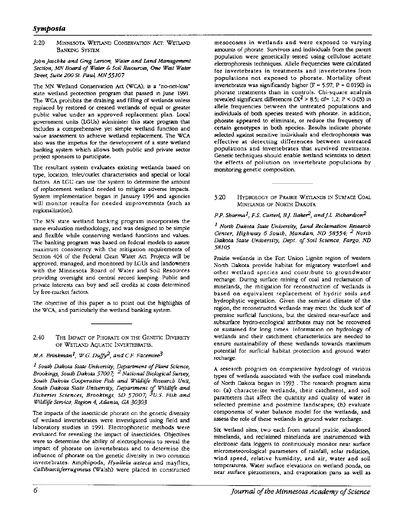# *Symposia*

2:20 MINNESOTA WETLAND CONSERVATION Acr: WETLAND BANKING SYSTEM

#### *john jaschke and Greg Larson, Water and Land Management Section, MN Board of Water* & *Soil Resources, One West Water*   $Street, Suite 200 St. Paul, MN 55107$

The MN Wetland Conservation Act (WCA), is a "no-net-loss" state wetland protection program that passed in June 1991. The WCA prohibits the draining and filling of wetlands unless replaced by restored or created wetlands of equal or greater public value under an approved replacement plan. Local government units (LGUs) administer this state program that includes a comprehensive yet simple wetland function and value assessment to achieve wetland replacement. The WCA also was the impetus for the development of a state wetland banking system which allows both public and private sector project sponsors to participate.

The resultant system evaluates existing wetlands based on type, location, inlet/outlet characteristics and special or local factors. An LGU can use the system to determine the amount of replacement wetland needed to mitigate adverse impacts. System implementation began in January 1994 and agencies will monitor results for needed improvements (such as regionalization).

The MN state wetland banking program incorporates the same evaluation methodology, and was designed to be simple and flexible while conserving wetland functions and values. The banking program was based on federal models to assure maximum consistency with the mitigation requirements of Section 404 of the Federal Clean Water Act. Projects will be approved, managed, and monitored by LGUs and landowners with the Minnesota Board of Water and Soil Resources providing oversight and central record keeping. Public and private interests can buy and sell credits at costs determined by free-market factors.

The objective of this paper is to point out the highlights of the WCA, and particularly the wetland banking system.

2:40 THE lMPACf OF PHORATE ON THE GENETIC DIVERSITY OF WETLAND AQUATIC INVERTEBRATES.

## *M.A. Brinkman<sup>1</sup>*, *W.G. Duffy*<sup>2</sup>, and *C.F. Facemire*<sup>3</sup>

*1 South Dakota State University, Department of Plant Science, Brookings, South Dakota 57007; 2 National Biological Survey, South Dakota Cooperative Fish and Wildlife Research Unit, South Dakota State University, Department of Wildlife and Fisheries Sciences, Brookings, SD 57007;* 3u.s. *Fish and Wildlife Service, Region 4, Atlanta, GA 30303* 

The impacts of the insecticide phorate on the genetic diversity of wetland invertebrates were investigated using field and laboratory studies in 1991. Electrophoretic methods were evaluated for revealing the impact of insecticides. Objectives were to determine the ability of electrophoresis to reveal the impact of phorate on invertebrates and to determine the influence of phorate on the genetic diversity in two common invertebrates. Amphipods, *Hyallela azteca* and mayflies, *Callibaetisferrugineus* (Walsh) were placed in constructed

mesocosms in wetlands and were exposed to varying amounts of phorate. Survivors and individuals from the parent population were genetically tested using cellulose acetate electrophoresis techniques. Allele frequencies were calculated for invertebrates in treatments and invertebrates from populations not exposed to phorate. Mortality oftest invertebrates was significantly higher  $(F = 5.97, P = 0.0190)$  in phorate treatments than in controls. Chi-square analysis revealed significant differences  $(X^2 > 8.5$ ; df= 1,2; P < 0.05) in allele frequencies between the untreated populations and individuals of both species treated with phorate. In addition, phorate appeared to eliminate, or reduce the frequency of certain genotypes in both species. Results indicate phorate selected against sensitive individuals and electrophoresis was effective at detecting differences between untreated populations and invertebrates that survived treatments. Genetic techniques should enable wetland scientists to detect the effects of pollution on invertebrate populations by monitoring genetic composition.

#### 3:20 HYDROLOGY OF PRAIRIE WETLANDS IN SURFACE COAL MINELANDS OF NORTH DAKOTA

## P.P. Sharma<sup>1</sup>, F.S. Carterl, B.J. Baker<sup>2</sup>, and J.L. Richardson<sup>2</sup>

*1 North Dakota State University, Land Reclamation Research Center, Highway 6 South, Mandan, ND 58554; 2 North Dakota State University, Dept. of Soil Science, Fargo, ND 58105* 

Prairie wetlands in the Fort Union Lignite region of western North Dakota provide habitat for migratory waterfowl and other wetland species and contribute to groundwater recharge. During surface mining of coal and reclamation of minelands, the mitigation for reconstruction of wetlands is based on equivalent replacement of hydric soils and hydrophytic vegetation. Given the semiarid climate of the region, the reconstructed wetlands may meet the 'duck test' of ·premine surficial functions, but the desired near-surface and subsurface hydro-ecological attributes may not be recovered or sustained for long times. Information on hydrology of wetlands and their catchment characteristics are needed to ensure sustainability of these wetlands towards maximum potential for surficial habitat protection and ground water recharge.

A research program on comparative hydrology of various types of wetlands associated with the surface coal minelands of North Dakota began in 1993 . The research program aims to: (a) characterize wetlands, their catchment, and soil parameters that affect the quantity and quality of water in selected premine. and postmine landscapes; (b) evaluate components of water balance model for the wetlands, and assess the role of these wetlands in ground water recharge.

Six wetland sites, two each from natural prairie, abandoned minelands, and reclaimed minelands are instrumented with electronic data Joggers to continuously monitor near surface micrometeorological parameters of rainfall, solar radiation, wind speed, relative humidity, and air, water and soil temperatures. Water surface elevations on wetland ponds, on near surface piezometers, and evaporation pans as well as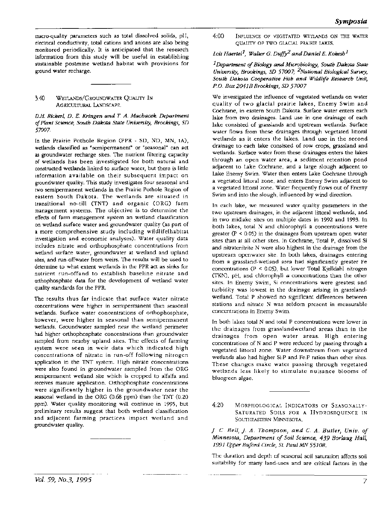macro-quality parameters such as total dissolved solids, pH, electrical conductivity, total cations and anions are also being monitored periodically. It is anticipated that the research information from this study will be useful in establishing sustainable postmine wetland habitat with provisions for ground water recharge.

3:40 WETIANDS/GROUNDWATER QUAUTY IN AGRICULTIJRAL LANDSCAPE.

#### D.H. *Ricker/, D.* E. *Kringen and* T. A. *Machacek. Department of Plant Science, South Dakota State University, Brookings, SD 57007.*

In the Prairie Pothole Region (PPR - SD, NO, MN, tA), wetlands classified as "semipermanent" or "seasonal" can act as groundwater recharge sites. The nutrient filtering capacity of wetlands has been investigated for both natural and constructed wetlands linked to surface water, but there is little information available on their subsequent impact on groundwater quality. This study investigates four seasonal and two semipermanent wetlands in the Prairie Pothole Region of eastern South Dakota. The wetlands are situated in transitional no-till (TNT) and organic (ORG) farm management systems. The objective is to determine the effects of farm management system an wetland classification on wetland surface water and groundwater quality (as part of a more comprehensive study including wildlifelhabitat investigation and economic analyses). Water quality data includes nitrate and orthophosphate concentrations from wetland surface water, groundwater at wetland and upland sites, and run-offwater from weirs. The results will be used to determine to what extent wetlands in the PPR act as sinks for nutrient run-offand to establish baseline nitrate and orthophosphate data for the development of wetland water quality standards for the PPR.

The results thus far indicate that surface water nitrate concentrations were higher in semipermanent than seasonal wetlands. Surface water concentrations of orthophosphate, however, were higher in seasonal than semipermanent wetlands. Groundwater sampled near the wetland perimeter had higher orthophosphate concentrations than groundwater sampled from nearby upland sites. The effects of farming system were seen in weir data which indicated high concentrations of nitrate in run-off following nitrogen application in the TNT system. High nitrate concentrations were also found in groundwater sampled from the ORG semipermanent wetland site which is cropped to alfalfa and receives manure application. Orthophosphate concentrations were significantly higher in the groundwater near the seasonal wetland in the ORG (0.68 ppm) than the TNT (0.20 ppm). Water quality monitoring will continue in 1995, but preliminary results suggest that both wetland classification and adjacent farming practices impact wetland and groundwater quality.

4:00 INFLUENCE OF VEGETATED WETLANDS ON THE WATER QUAUTY OF TWO GLACIAL PRAIRIE LAKES.

## Lois Haertel<sup>1</sup>, Walter G. Duffy<sup>2</sup> and Daniel E. Kokesh<sup>1</sup>

### *1 Department* if *Biology and Microbiology, South Dakota State University, Brookings, SD 57007; 2National Biological Survey, South Dakota Cooperative Fish and Wildlife Research Unit, P.O. Box 2041B Brookings, SD* 57007

We investigated the influence of vegetated wetlands on water quality of two glacial prairie lakes, Enemy Swim and Cochrane, in eastern South Dakota. Surface water enters each lake from two drainages. Land use in one drainage of each lake consisted of grasslands and upstream wetlands. Surface water flows from these drainages through vegetated littoral wetlands as it enters the lakes. Land use in the second drainage to each lake consisted of row crops, grassland and wetlands. Surface water from these drainages enters the lakes through an open water area; a sediment retention pond adjacent to Lake Cochrane, and a large slough adjacent to Lake Enemy Swim. Water then enters Lake Cochrane through a vegetated littoral zone, and enters Enemy Swim adjacent to a vegetated littoral zone. Water frequently flows out of Enemy Swim and into the slough, influenced by wind direction.

In each lake, we measured water quality parameters in the two upstream drainages, in the adjacent littoral wetlands, and in two midlake sites on multiple dates in 1992 and 1993. In both lakes, total N and chlorophyll a concentrations were greater  $(P < 0.05)$  in the drainages from upstream open water sites than at all other sites. In Cochrane, Total P, dissolved Si and nitratenitrite N were also highest in the drainage from the upstream openwater site. In both lakes, drainages entering from a grassland-wetland area had significantly greater Fe concentrations ( $P < 0.05$ ), but lower Total Kjelldahl nitrogen (TKN), pH, and chlorophyll *a* concentrations than the other sites. In Enemy Swim, Si concentrations were greatest and turbidity was lowest in the drainage arising in grasslandwetland. Total P showed no significant differences between stations and nitrate N was seldom present in measurable concentrations in Enemy Swim.

In both lakes total N and total P concentrations were lower in the drainages from grasslandwetland areas than in the drainages from open water areas. High entering concentrations of N and P were reduced by passing through a vegetated littoral zone. Water downstream from vegetated wetlands also had higher Si:P and Fe:P ratios than other sites. These changes make water passing through vegetated wetlands less likely to stimulate nuisance blooms of bluegreen algae.

4:20 MORPHOLOGICAL INDICATORS OF SEASONALLY-SATURATED SOILS FOR A HYDROSEQUENCE IN SOUTHEASTERN MINNESOTA.

*]. C. Bell,]. A. Thompson, and C. A. Butler, Univ. of Minnesota, Department of Soil Science, 439 Borlaug Hall, 1991 Upper Buford Circle, St. Paul MN 55108.* 

The duration and depth of seasonal soil saturation affects soil suitability for many land-uses and are critical factors in the